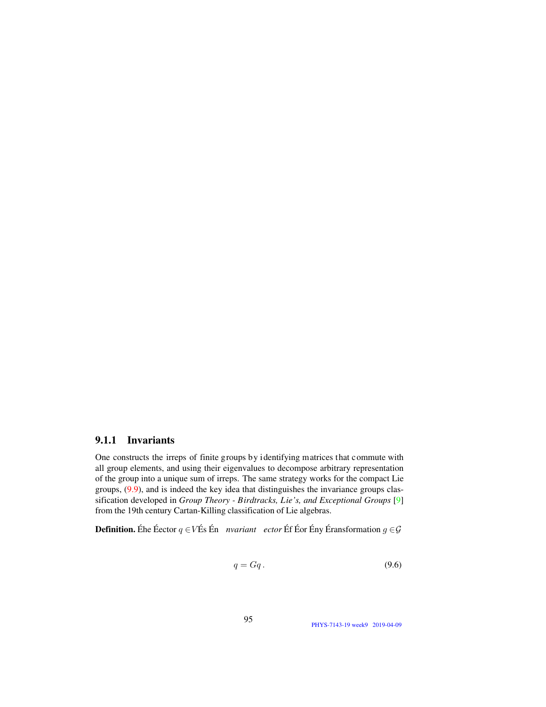## 9.1.1 Invariants

One constructs the irreps of finite groups by identifying matrices that commute with all group elements, and using their eigenvalues to decompose arbitrary representation of the group into a unique sum of irreps. The same strategy works for the compact Lie groups,  $(9.9)$ , and is indeed the key idea that distinguishes the invariance groups classification developed in Group Theory - Birdtracks, Lie's, and Exceptional Groups [9] from the 19th century Cartan-Killing classification of Lie algebras.

**Definition.** Éhe Éector  $q \in V$ És Én *nvariant ector* Éf Éor Ény Éransformation  $q \in \mathcal{G}$ 

<span id="page-0-0"></span>
$$
q = Gq. \tag{9.6}
$$

95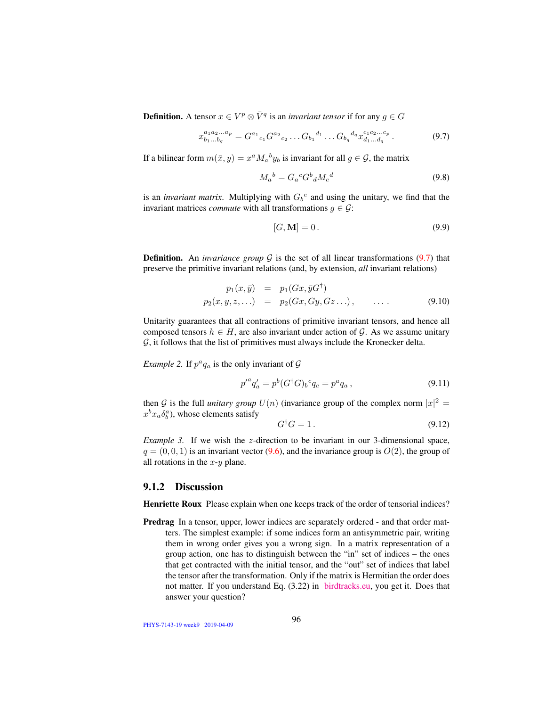**Definition.** A tensor  $x \in V^p \otimes \overline{V}^q$  is an *invariant tensor* if for any  $g \in G$ 

<span id="page-1-1"></span>
$$
x_{b_1...b_q}^{a_1a_2...a_p} = G^{a_1}{}_{c_1} G^{a_2}{}_{c_2} \dots G_{b_1}{}^{d_1} \dots G_{b_q}{}^{d_q} x_{d_1...d_q}^{c_1c_2...c_p}.
$$
\n
$$
(9.7)
$$

If a bilinear form  $m(\bar{x}, y) = x^a M_a{}^b y_b$  is invariant for all  $g \in \mathcal{G}$ , the matrix

$$
M_a{}^b = G_a{}^c G^b{}_d M_c{}^d \tag{9.8}
$$

is an *invariant matrix*. Multiplying with  $G_b^e$  and using the unitary, we find that the invariant matrices *commute* with all transformations  $q \in \mathcal{G}$ :

<span id="page-1-0"></span>
$$
[G, \mathbf{M}] = 0. \tag{9.9}
$$

**Definition.** An *invariance group*  $G$  is the set of all linear transformations [\(9.7\)](#page-1-1) that preserve the primitive invariant relations (and, by extension, *all* invariant relations)

$$
p_1(x, \bar{y}) = p_1(Gx, \bar{y}G^{\dagger})
$$
  
\n
$$
p_2(x, y, z, \ldots) = p_2(Gx, Gy, Gz \ldots), \qquad \ldots
$$
 (9.10)

Unitarity guarantees that all contractions of primitive invariant tensors, and hence all composed tensors  $h \in H$ , are also invariant under action of G. As we assume unitary  $G$ , it follows that the list of primitives must always include the Kronecker delta.

*Example 2.* If  $p^a q_a$  is the only invariant of  $\mathcal G$ 

$$
p'^{a}q'_{a} = p^{b}(G^{\dagger}G)_{b}{}^{c}q_{c} = p^{a}q_{a}, \qquad (9.11)
$$

then G is the full *unitary group*  $U(n)$  (invariance group of the complex norm  $|x|^2 =$  $x^b x_a \delta_b^a$ ), whose elements satisfy

$$
G^{\dagger}G = 1. \tag{9.12}
$$

*Example 3.* If we wish the z-direction to be invariant in our 3-dimensional space,  $q = (0, 0, 1)$  is an invariant vector [\(9.6\)](#page-0-0), and the invariance group is  $O(2)$ , the group of all rotations in the  $x-y$  plane.

## 9.1.2 Discussion

Henriette Roux Please explain when one keeps track of the order of tensorial indices?

Predrag In a tensor, upper, lower indices are separately ordered - and that order matters. The simplest example: if some indices form an antisymmetric pair, writing them in wrong order gives you a wrong sign. In a matrix representation of a group action, one has to distinguish between the "in" set of indices – the ones that get contracted with the initial tensor, and the "out" set of indices that label the tensor after the transformation. Only if the matrix is Hermitian the order does not matter. If you understand Eq. (3.22) in [birdtracks.eu,](http://birdtracks.eu/courses/PHYS-7143-19/PCgr_pp16_20.pdf) you get it. Does that answer your question?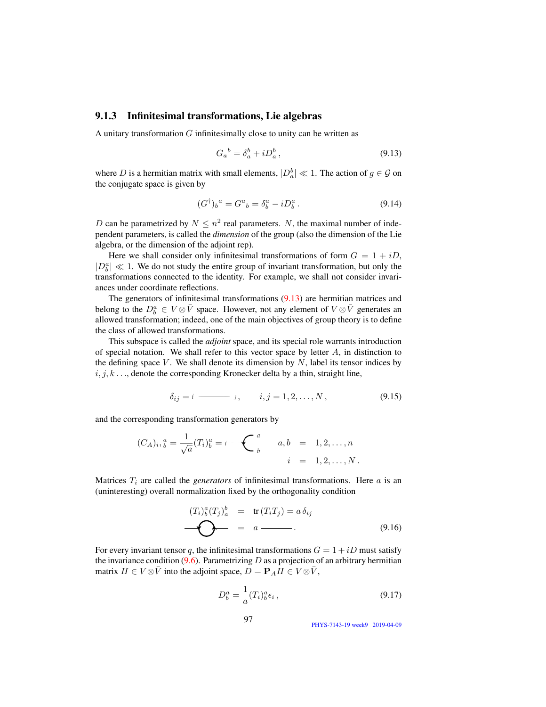## 9.1.3 Infinitesimal transformations, Lie algebras

A unitary transformation  $G$  infinitesimally close to unity can be written as

<span id="page-2-0"></span>
$$
G_a{}^b = \delta_a^b + i D_a^b, \qquad (9.13)
$$

where D is a hermitian matrix with small elements,  $|D_a^b| \ll 1$ . The action of  $g \in \mathcal{G}$  on the conjugate space is given by

$$
(G^{\dagger})_b{}^a = G^a{}_b = \delta^a_b - i D^a_b. \tag{9.14}
$$

D can be parametrized by  $N \leq n^2$  real parameters. N, the maximal number of independent parameters, is called the *dimension* of the group (also the dimension of the Lie algebra, or the dimension of the adjoint rep).

Here we shall consider only infinitesimal transformations of form  $G = 1 + iD$ ,  $|D_b^a| \ll 1$ . We do not study the entire group of invariant transformation, but only the transformations connected to the identity. For example, we shall not consider invariances under coordinate reflections.

The generators of infinitesimal transformations [\(9.13\)](#page-2-0) are hermitian matrices and belong to the  $D_b^a \in V \otimes \bar{V}$  space. However, not any element of  $V \otimes \bar{V}$  generates an allowed transformation; indeed, one of the main objectives of group theory is to define the class of allowed transformations.

This subspace is called the *adjoint* space, and its special role warrants introduction of special notation. We shall refer to this vector space by letter  $A$ , in distinction to the defining space  $V$ . We shall denote its dimension by  $N$ , label its tensor indices by  $i, j, k, \ldots$ , denote the corresponding Kronecker delta by a thin, straight line,

$$
\delta_{ij} = i \longrightarrow j, \qquad i, j = 1, 2, \dots, N,
$$
\n(9.15)

and the corresponding transformation generators by

$$
(C_A)_i, \, \, \stackrel{a}{b} = \frac{1}{\sqrt{a}} (T_i)_b^a = i \, \underbrace{\qquad \qquad}_{b} \qquad a, \, b \quad = \quad 1, 2, \dots, n
$$
\n
$$
i \quad = \quad 1, 2, \dots, N \, .
$$

Matrices  $T_i$  are called the *generators* of infinitesimal transformations. Here  $a$  is an (uninteresting) overall normalization fixed by the orthogonality condition

$$
(T_i)_b^a (T_j)_a^b = \text{tr}(T_i T_j) = a \,\delta_{ij}
$$
\n
$$
\bullet \qquad \bullet \qquad = a \qquad \qquad . \tag{9.16}
$$

For every invariant tensor q, the infinitesimal transformations  $G = 1 + iD$  must satisfy the invariance condition  $(9.6)$ . Parametrizing D as a projection of an arbitrary hermitian matrix  $H \in V \otimes \overline{V}$  into the adjoint space,  $D = P_A H \in V \otimes \overline{V}$ ,

$$
D_b^a = \frac{1}{a}(T_i)_b^a \epsilon_i \,, \tag{9.17}
$$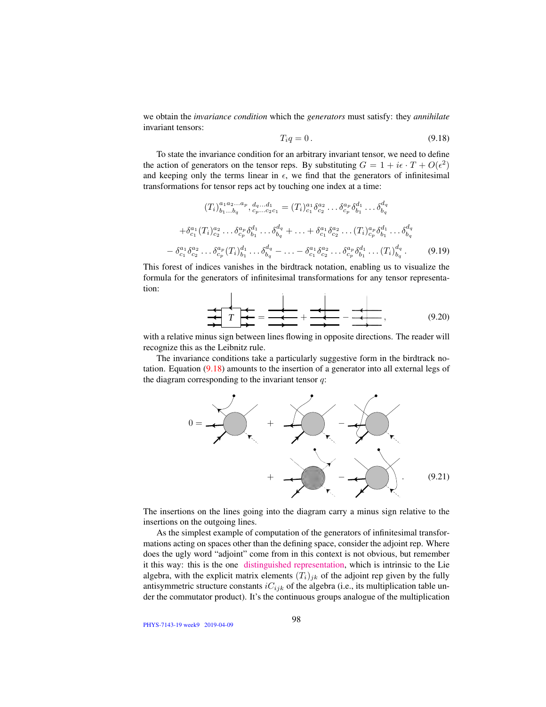we obtain the *invariance condition* which the *generators* must satisfy: they *annihilate* invariant tensors:

<span id="page-3-0"></span>
$$
T_i q = 0. \tag{9.18}
$$

To state the invariance condition for an arbitrary invariant tensor, we need to define the action of generators on the tensor reps. By substituting  $G = 1 + i\epsilon \cdot T + O(\epsilon^2)$ and keeping only the terms linear in  $\epsilon$ , we find that the generators of infinitesimal transformations for tensor reps act by touching one index at a time:

$$
(T_i)_{b_1...b_q}^{a_1 a_2...a_p} \t, d_q...d_1 = (T_i)_{c_1}^{a_1} \delta_{c_2}^{a_2} ... \delta_{c_p}^{a_p} \delta_{b_1}^{d_1} ... \delta_{b_q}^{d_q}
$$

$$
+ \delta_{c_1}^{a_1} (T_i)_{c_2}^{a_2} ... \delta_{c_p}^{a_p} \delta_{b_1}^{d_1} ... \delta_{b_q}^{d_q} + ... + \delta_{c_1}^{a_1} \delta_{c_2}^{a_2} ... (T_i)_{c_p}^{a_p} \delta_{b_1}^{d_1} ... \delta_{b_q}^{d_q}
$$

$$
- \delta_{c_1}^{a_1} \delta_{c_2}^{a_2} ... \delta_{c_p}^{a_p} (T_i)_{b_1}^{d_1} ... \delta_{b_q}^{d_q} - ... - \delta_{c_1}^{a_1} \delta_{c_2}^{a_2} ... \delta_{c_p}^{a_p} \delta_{b_1}^{d_1} ... (T_i)_{b_q}^{d_q}.
$$
(9.19)

This forest of indices vanishes in the birdtrack notation, enabling us to visualize the formula for the generators of infinitesimal transformations for any tensor representation:  $\mathbf{r}$ 

 *<sup>T</sup>* <sup>=</sup> <sup>+</sup> <sup>−</sup> , (9.20)

with a relative minus sign between lines flowing in opposite directions. The reader will recognize this as the Leibnitz rule.

The invariance conditions take a particularly suggestive form in the birdtrack notation. Equation [\(9.18\)](#page-3-0) amounts to the insertion of a generator into all external legs of the diagram corresponding to the invariant tensor  $q$ :

<span id="page-3-1"></span>

The insertions on the lines going into the diagram carry a minus sign relative to the insertions on the outgoing lines.

As the simplest example of computation of the generators of infinitesimal transformations acting on spaces other than the defining space, consider the adjoint rep. Where does the ugly word "adjoint" come from in this context is not obvious, but remember it this way: this is the one [distinguished representation,](http://jakobschwichtenberg.com/adjoint-representation/) which is intrinsic to the Lie algebra, with the explicit matrix elements  $(T_i)_{jk}$  of the adjoint rep given by the fully antisymmetric structure constants  $iC_{ijk}$  of the algebra (i.e., its multiplication table under the commutator product). It's the continuous groups analogue of the multiplication